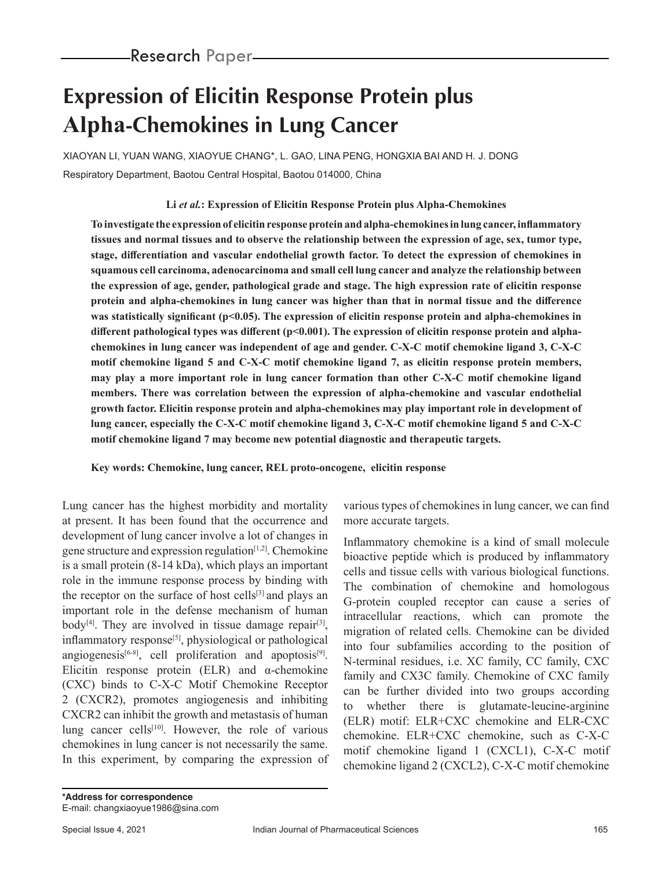# **Expression of Elicitin Response Protein plus Alpha-Chemokines in Lung Cancer**

XIAOYAN LI, YUAN WANG, XIAOYUE CHANG\*, L. GAO, LINA PENG, HONGXIA BAI AND H. J. DONG Respiratory Department, Baotou Central Hospital, Baotou 014000, China

# **Li** *et al.***: Expression of Elicitin Response Protein plus Alpha-Chemokines**

**To investigate the expression of elicitin response protein and alpha-chemokines in lung cancer, inflammatory tissues and normal tissues and to observe the relationship between the expression of age, sex, tumor type, stage, differentiation and vascular endothelial growth factor. To detect the expression of chemokines in squamous cell carcinoma, adenocarcinoma and small cell lung cancer and analyze the relationship between the expression of age, gender, pathological grade and stage. The high expression rate of elicitin response protein and alpha-chemokines in lung cancer was higher than that in normal tissue and the difference**  was statistically significant (p<0.05). The expression of elicitin response protein and alpha-chemokines in different pathological types was different (p<0.001). The expression of elicitin response protein and alpha**chemokines in lung cancer was independent of age and gender. C-X-C motif chemokine ligand 3, C-X-C motif chemokine ligand 5 and C-X-C motif chemokine ligand 7, as elicitin response protein members, may play a more important role in lung cancer formation than other C-X-C motif chemokine ligand members. There was correlation between the expression of alpha-chemokine and vascular endothelial growth factor. Elicitin response protein and alpha-chemokines may play important role in development of lung cancer, especially the C-X-C motif chemokine ligand 3, C-X-C motif chemokine ligand 5 and C-X-C motif chemokine ligand 7 may become new potential diagnostic and therapeutic targets.**

**Key words: Chemokine, lung cancer, REL proto-oncogene, elicitin response** 

Lung cancer has the highest morbidity and mortality at present. It has been found that the occurrence and development of lung cancer involve a lot of changes in gene structure and expression regulation $[1,2]$ . Chemokine is a small protein (8-14 kDa), which plays an important role in the immune response process by binding with the receptor on the surface of host cells $[3]$  and plays an important role in the defense mechanism of human body<sup>[4]</sup>. They are involved in tissue damage repair<sup>[3]</sup>, inflammatory response<sup>[5]</sup>, physiological or pathological angiogenesis<sup>[6-8]</sup>, cell proliferation and apoptosis<sup>[9]</sup>. Elicitin response protein (ELR) and α-chemokine (CXC) binds to C-X-C Motif Chemokine Receptor 2 (CXCR2), promotes angiogenesis and inhibiting CXCR2 can inhibit the growth and metastasis of human lung cancer cells<sup>[10]</sup>. However, the role of various chemokines in lung cancer is not necessarily the same. In this experiment, by comparing the expression of various types of chemokines in lung cancer, we can find more accurate targets.

Inflammatory chemokine is a kind of small molecule bioactive peptide which is produced by inflammatory cells and tissue cells with various biological functions. The combination of chemokine and homologous G-protein coupled receptor can cause a series of intracellular reactions, which can promote the migration of related cells. Chemokine can be divided into four subfamilies according to the position of N-terminal residues, i.e. XC family, CC family, CXC family and CX3C family. Chemokine of CXC family can be further divided into two groups according to whether there is glutamate-leucine-arginine (ELR) motif: ELR+CXC chemokine and ELR-CXC chemokine. ELR+CXC chemokine, such as C-X-C motif chemokine ligand 1 (CXCL1), C-X-C motif chemokine ligand 2 (CXCL2), C-X-C motif chemokine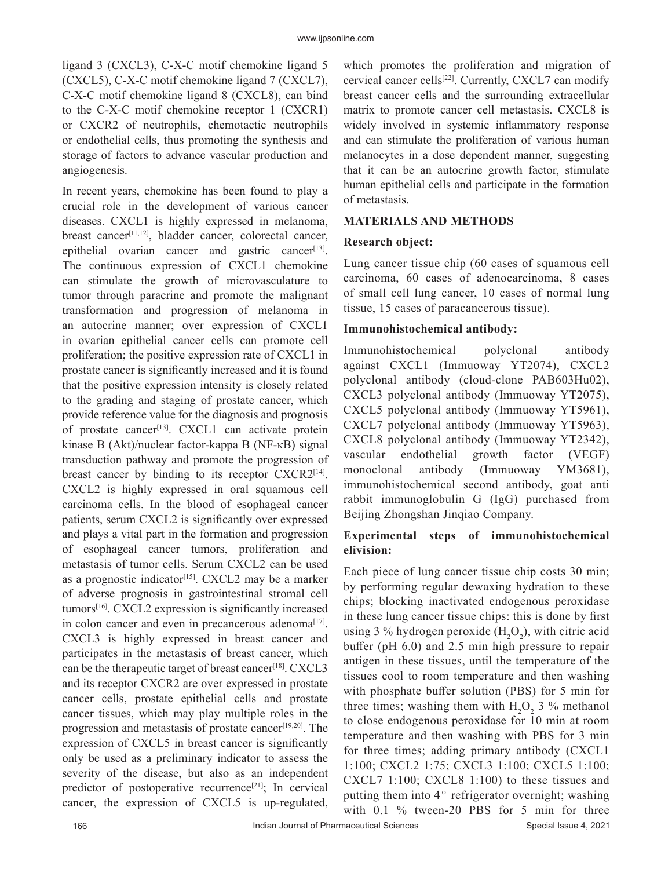ligand 3 (CXCL3), C-X-C motif chemokine ligand 5 (CXCL5), C-X-C motif chemokine ligand 7 (CXCL7), C-X-C motif chemokine ligand 8 (CXCL8), can bind to the C-X-C motif chemokine receptor 1 (CXCR1) or CXCR2 of neutrophils, chemotactic neutrophils or endothelial cells, thus promoting the synthesis and storage of factors to advance vascular production and angiogenesis.

In recent years, chemokine has been found to play a crucial role in the development of various cancer diseases. CXCL1 is highly expressed in melanoma, breast cancer<sup>[11,12]</sup>, bladder cancer, colorectal cancer, epithelial ovarian cancer and gastric cancer<sup>[13]</sup>. The continuous expression of CXCL1 chemokine can stimulate the growth of microvasculature to tumor through paracrine and promote the malignant transformation and progression of melanoma in an autocrine manner; over expression of CXCL1 in ovarian epithelial cancer cells can promote cell proliferation; the positive expression rate of CXCL1 in prostate cancer is significantly increased and it is found that the positive expression intensity is closely related to the grading and staging of prostate cancer, which provide reference value for the diagnosis and prognosis of prostate cancer<sup>[13]</sup>. CXCL1 can activate protein kinase B (Akt)/nuclear factor-kappa B (NF-κB) signal transduction pathway and promote the progression of breast cancer by binding to its receptor CXCR2<sup>[14]</sup>. CXCL2 is highly expressed in oral squamous cell carcinoma cells. In the blood of esophageal cancer patients, serum CXCL2 is significantly over expressed and plays a vital part in the formation and progression of esophageal cancer tumors, proliferation and metastasis of tumor cells. Serum CXCL2 can be used as a prognostic indicator<sup>[15]</sup>. CXCL2 may be a marker of adverse prognosis in gastrointestinal stromal cell tumors<sup>[16]</sup>. CXCL2 expression is significantly increased in colon cancer and even in precancerous adenoma<sup>[17]</sup>. CXCL3 is highly expressed in breast cancer and participates in the metastasis of breast cancer, which can be the therapeutic target of breast cancer<sup>[18]</sup>. CXCL3 and its receptor CXCR2 are over expressed in prostate cancer cells, prostate epithelial cells and prostate cancer tissues, which may play multiple roles in the progression and metastasis of prostate cancer<sup>[19,20]</sup>. The expression of CXCL5 in breast cancer is significantly only be used as a preliminary indicator to assess the severity of the disease, but also as an independent predictor of postoperative recurrence<sup>[21]</sup>; In cervical cancer, the expression of CXCL5 is up-regulated, which promotes the proliferation and migration of cervical cancer cells<sup>[22]</sup>. Currently, CXCL7 can modify breast cancer cells and the surrounding extracellular matrix to promote cancer cell metastasis. CXCL8 is widely involved in systemic inflammatory response and can stimulate the proliferation of various human melanocytes in a dose dependent manner, suggesting that it can be an autocrine growth factor, stimulate human epithelial cells and participate in the formation of metastasis.

#### **MATERIALS AND METHODS**

#### **Research object:**

Lung cancer tissue chip (60 cases of squamous cell carcinoma, 60 cases of adenocarcinoma, 8 cases of small cell lung cancer, 10 cases of normal lung tissue, 15 cases of paracancerous tissue).

#### **Immunohistochemical antibody:**

Immunohistochemical polyclonal antibody against CXCL1 (Immuoway YT2074), CXCL2 polyclonal antibody (cloud-clone PAB603Hu02), CXCL3 polyclonal antibody (Immuoway YT2075), CXCL5 polyclonal antibody (Immuoway YT5961), CXCL7 polyclonal antibody (Immuoway YT5963), CXCL8 polyclonal antibody (Immuoway YT2342), vascular endothelial growth factor (VEGF) monoclonal antibody (Immuoway YM3681), immunohistochemical second antibody, goat anti rabbit immunoglobulin G (IgG) purchased from Beijing Zhongshan Jinqiao Company.

# **Experimental steps of immunohistochemical elivision:**

Each piece of lung cancer tissue chip costs 30 min; by performing regular dewaxing hydration to these chips; blocking inactivated endogenous peroxidase in these lung cancer tissue chips: this is done by first using 3 % hydrogen peroxide  $(H_2O_2)$ , with citric acid buffer (pH 6.0) and 2.5 min high pressure to repair antigen in these tissues, until the temperature of the tissues cool to room temperature and then washing with phosphate buffer solution (PBS) for 5 min for three times; washing them with  $H_2O_2$  3 % methanol to close endogenous peroxidase for 10 min at room temperature and then washing with PBS for 3 min for three times; adding primary antibody (CXCL1 1:100; CXCL2 1:75; CXCL3 1:100; CXCL5 1:100; CXCL7 1:100; CXCL8 1:100) to these tissues and putting them into  $4^\circ$  refrigerator overnight; washing with 0.1 % tween-20 PBS for 5 min for three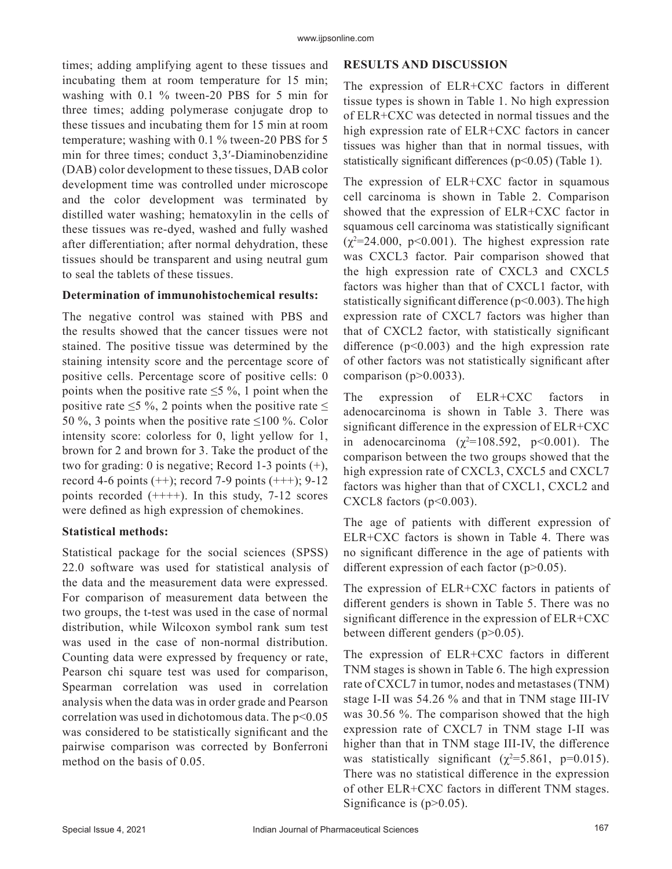times; adding amplifying agent to these tissues and incubating them at room temperature for 15 min; washing with 0.1 % tween-20 PBS for 5 min for three times; adding polymerase conjugate drop to these tissues and incubating them for 15 min at room temperature; washing with 0.1 % tween-20 PBS for 5 min for three times; conduct 3,3′-Diaminobenzidine (DAB) color development to these tissues, DAB color development time was controlled under microscope and the color development was terminated by distilled water washing; hematoxylin in the cells of these tissues was re-dyed, washed and fully washed after differentiation; after normal dehydration, these tissues should be transparent and using neutral gum to seal the tablets of these tissues.

# **Determination of immunohistochemical results:**

The negative control was stained with PBS and the results showed that the cancer tissues were not stained. The positive tissue was determined by the staining intensity score and the percentage score of positive cells. Percentage score of positive cells: 0 points when the positive rate  $\leq$ 5 %, 1 point when the positive rate  $\leq$ 5 %, 2 points when the positive rate  $\leq$ 50 %, 3 points when the positive rate  $\leq$ 100 %. Color intensity score: colorless for 0, light yellow for 1, brown for 2 and brown for 3. Take the product of the two for grading: 0 is negative; Record 1-3 points  $(+)$ , record 4-6 points  $(++)$ ; record 7-9 points  $(++)$ ; 9-12 points recorded  $(+++)$ . In this study, 7-12 scores were defined as high expression of chemokines.

# **Statistical methods:**

Statistical package for the social sciences (SPSS) 22.0 software was used for statistical analysis of the data and the measurement data were expressed. For comparison of measurement data between the two groups, the t-test was used in the case of normal distribution, while Wilcoxon symbol rank sum test was used in the case of non-normal distribution. Counting data were expressed by frequency or rate, Pearson chi square test was used for comparison, Spearman correlation was used in correlation analysis when the data was in order grade and Pearson correlation was used in dichotomous data. The  $p<0.05$ was considered to be statistically significant and the pairwise comparison was corrected by Bonferroni method on the basis of 0.05.

# **RESULTS AND DISCUSSION**

The expression of ELR+CXC factors in different tissue types is shown in Table 1. No high expression of ELR+CXC was detected in normal tissues and the high expression rate of ELR+CXC factors in cancer tissues was higher than that in normal tissues, with statistically significant differences ( $p$ <0.05) (Table 1).

The expression of ELR+CXC factor in squamous cell carcinoma is shown in Table 2. Comparison showed that the expression of ELR+CXC factor in squamous cell carcinoma was statistically significant  $(\chi^2 = 24.000, \text{ p} < 0.001)$ . The highest expression rate was CXCL3 factor. Pair comparison showed that the high expression rate of CXCL3 and CXCL5 factors was higher than that of CXCL1 factor, with statistically significant difference ( $p<0.003$ ). The high expression rate of CXCL7 factors was higher than that of CXCL2 factor, with statistically significant difference  $(p<0.003)$  and the high expression rate of other factors was not statistically significant after comparison ( $p$  $>$ 0.0033).

The expression of ELR+CXC factors in adenocarcinoma is shown in Table 3. There was significant difference in the expression of ELR+CXC in adenocarcinoma  $(\chi^2=108.592, p<0.001)$ . The comparison between the two groups showed that the high expression rate of CXCL3, CXCL5 and CXCL7 factors was higher than that of CXCL1, CXCL2 and CXCL8 factors  $(p<0.003)$ .

The age of patients with different expression of ELR+CXC factors is shown in Table 4. There was no significant difference in the age of patients with different expression of each factor  $(p>0.05)$ .

The expression of ELR+CXC factors in patients of different genders is shown in Table 5. There was no significant difference in the expression of ELR+CXC between different genders (p>0.05).

The expression of ELR+CXC factors in different TNM stages is shown in Table 6. The high expression rate of CXCL7 in tumor, nodes and metastases (TNM) stage I-II was 54.26 % and that in TNM stage III-IV was 30.56 %. The comparison showed that the high expression rate of CXCL7 in TNM stage I-II was higher than that in TNM stage III-IV, the difference was statistically significant  $(\chi^2=5.861, \text{ p}=0.015)$ . There was no statistical difference in the expression of other ELR+CXC factors in different TNM stages. Significance is  $(p>0.05)$ .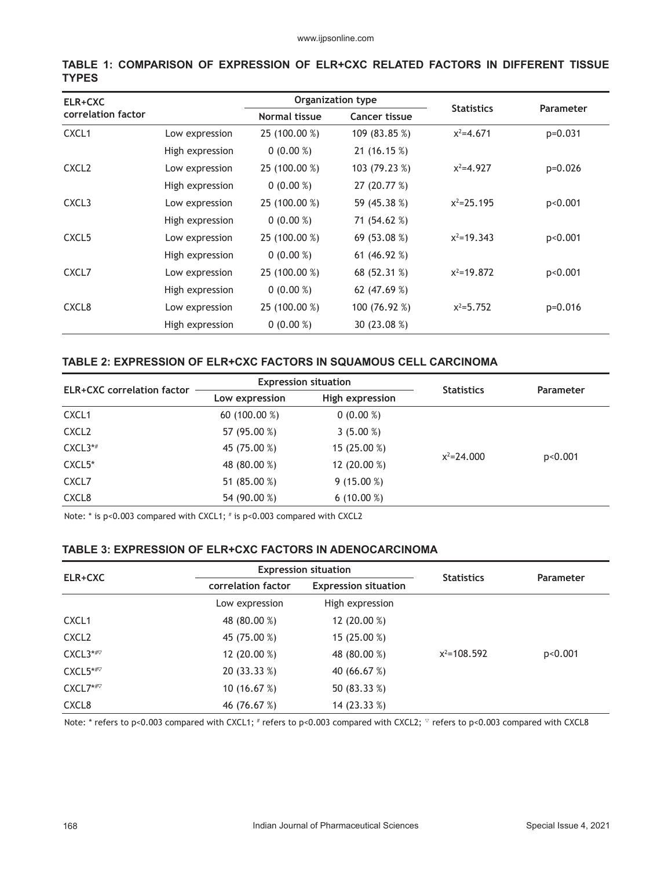| ELR+CXC            |                 |                      | Organization type |                   |                  |
|--------------------|-----------------|----------------------|-------------------|-------------------|------------------|
| correlation factor |                 | <b>Normal tissue</b> | Cancer tissue     | <b>Statistics</b> | <b>Parameter</b> |
| CXCL <sub>1</sub>  | Low expression  | 25 (100.00 %)        | 109 (83.85 %)     | $x^2 = 4.671$     | $p=0.031$        |
|                    | High expression | $0(0.00\%)$          | 21(16.15%)        |                   |                  |
| CXCL <sub>2</sub>  | Low expression  | 25 (100.00 %)        | 103 (79.23 %)     | $x^2 = 4.927$     | $p=0.026$        |
|                    | High expression | $0(0.00\%)$          | 27 (20.77 %)      |                   |                  |
| CXCL <sub>3</sub>  | Low expression  | 25 (100.00 %)        | 59 (45.38 %)      | $x^2 = 25.195$    | p<0.001          |
|                    | High expression | $0(0.00\%)$          | 71 (54.62 %)      |                   |                  |
| CXCL <sub>5</sub>  | Low expression  | 25 (100.00 %)        | 69 (53.08 %)      | $x^2=19.343$      | p<0.001          |
|                    | High expression | $0(0.00\%)$          | 61 $(46.92\%)$    |                   |                  |
| CXCL7              | Low expression  | 25 (100.00 %)        | 68 (52.31 %)      | $x^2$ =19.872     | p<0.001          |
|                    | High expression | $0(0.00\%)$          | 62 (47.69 %)      |                   |                  |
| CXCL <sub>8</sub>  | Low expression  | 25 (100.00 %)        | 100 (76.92 %)     | $x^2 = 5.752$     | $p=0.016$        |
|                    | High expression | $0(0.00\%)$          | 30 (23.08 %)      |                   |                  |

#### **TABLE 1: COMPARISON OF EXPRESSION OF ELR+CXC RELATED FACTORS IN DIFFERENT TISSUE TYPES**

#### **TABLE 2: EXPRESSION OF ELR+CXC FACTORS IN SQUAMOUS CELL CARCINOMA**

| <b>ELR+CXC</b> correlation factor |                 | <b>Expression situation</b> | <b>Statistics</b> |           |
|-----------------------------------|-----------------|-----------------------------|-------------------|-----------|
|                                   | Low expression  | High expression             |                   | Parameter |
| CXCL <sub>1</sub>                 | 60 $(100.00\%)$ | $0(0.00\%)$                 |                   |           |
| CXCL <sub>2</sub>                 | 57 (95.00 %)    | $3(5.00\%)$                 |                   |           |
| CXCL3*#                           | 45 (75.00 %)    | 15 (25.00 %)                | $x^2 = 24.000$    |           |
| CXCL5*                            | 48 (80.00 %)    | 12 (20.00 %)                |                   | p<0.001   |
| CXCL7                             | 51 (85.00 %)    | $9(15.00\%)$                |                   |           |
| CXCL8                             | 54 (90.00 %)    | $6(10.00\%)$                |                   |           |

Note:  $*$  is  $p$ <0.003 compared with CXCL1;  $*$  is  $p$ <0.003 compared with CXCL2

# **TABLE 3: EXPRESSION OF ELR+CXC FACTORS IN ADENOCARCINOMA**

|                   |                                                   | <b>Expression situation</b> |                   |           |
|-------------------|---------------------------------------------------|-----------------------------|-------------------|-----------|
| ELR+CXC           | correlation factor<br><b>Expression situation</b> |                             | <b>Statistics</b> | Parameter |
|                   | Low expression                                    | High expression             |                   |           |
| CXCL <sub>1</sub> | 48 (80.00 %)                                      | 12 (20.00 %)                |                   |           |
| CXCL <sub>2</sub> | 45 (75.00 %)                                      | 15 (25.00 %)                |                   |           |
| $CXCL3^{**}$      | 12 (20.00 %)                                      | 48 (80.00 %)                | $x^2$ =108.592    | p<0.001   |
| $CXCL5^{**}$      | 20 (33.33 %)                                      | 40 (66.67 %)                |                   |           |
| $CXCL7^{**}$      | 10 $(16.67%)$                                     | 50 (83.33 %)                |                   |           |
| CXCL8             | 46 (76.67 %)                                      | 14 (23.33 %)                |                   |           |

Note: \* refers to p<0.003 compared with CXCL1; # refers to p<0.003 compared with CXCL2;  $^\triangledown$  refers to p<0.003 compared with CXCL8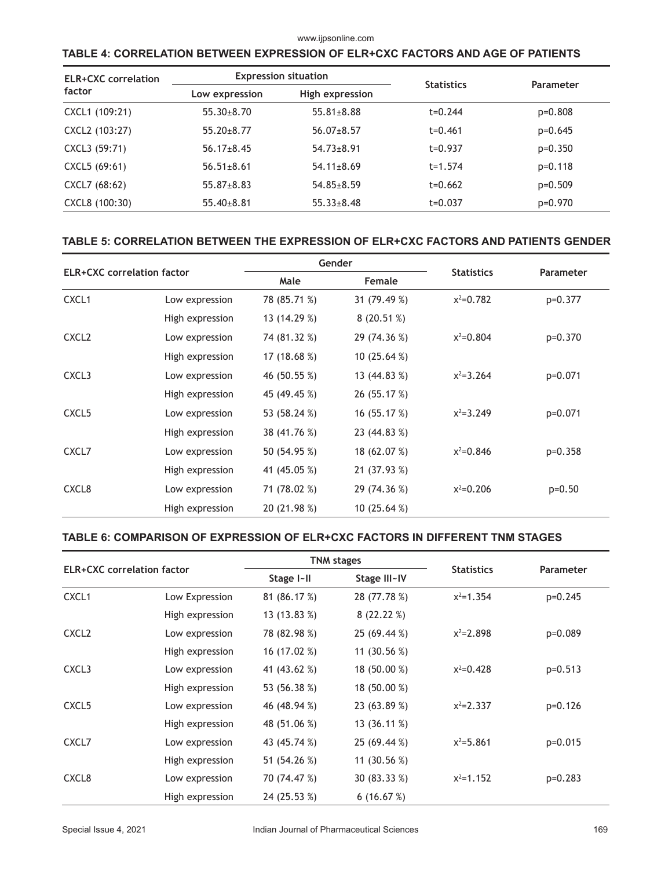#### www.ijpsonline.com

# **TABLE 4: CORRELATION BETWEEN EXPRESSION OF ELR+CXC FACTORS AND AGE OF PATIENTS**

| <b>ELR+CXC</b> correlation |                  | <b>Expression situation</b> | <b>Statistics</b> | Parameter |  |
|----------------------------|------------------|-----------------------------|-------------------|-----------|--|
| factor                     | Low expression   | High expression             |                   |           |  |
| CXCL1 (109:21)             | $55.30 \pm 8.70$ | $55.81 \pm 8.88$            | $t = 0.244$       | p=0.808   |  |
| CXCL2 (103:27)             | $55.20 \pm 8.77$ | $56.07 \pm 8.57$            | $t = 0.461$       | $p=0.645$ |  |
| CXCL3 (59:71)              | $56.17 \pm 8.45$ | $54.73 \pm 8.91$            | $t = 0.937$       | $p=0.350$ |  |
| CXCL5 (69:61)              | $56.51 \pm 8.61$ | $54.11 \pm 8.69$            | $t = 1.574$       | $p=0.118$ |  |
| CXCL7 (68:62)              | $55.87 \pm 8.83$ | $54.85 \pm 8.59$            | $t = 0.662$       | $p=0.509$ |  |
| CXCL8 (100:30)             | $55.40\pm8.81$   | $55.33 \pm 8.48$            | t=0.037           | p=0.970   |  |

#### **TABLE 5: CORRELATION BETWEEN THE EXPRESSION OF ELR+CXC FACTORS AND PATIENTS GENDER**

| <b>ELR+CXC</b> correlation factor |                 | Gender       |               |                   |                  |
|-----------------------------------|-----------------|--------------|---------------|-------------------|------------------|
|                                   |                 | Male         | Female        | <b>Statistics</b> | <b>Parameter</b> |
| CXCL <sub>1</sub>                 | Low expression  | 78 (85.71 %) | 31 (79.49 %)  | $x^2=0.782$       | $p=0.377$        |
|                                   | High expression | 13 (14.29 %) | 8(20.51%)     |                   |                  |
| CXCL <sub>2</sub>                 | Low expression  | 74 (81.32 %) | 29 (74.36 %)  | $x^2=0.804$       | $p=0.370$        |
|                                   | High expression | 17 (18.68 %) | 10 $(25.64%)$ |                   |                  |
| CXCL3                             | Low expression  | 46 (50.55 %) | 13 (44.83 %)  | $x^2 = 3.264$     | $p=0.071$        |
|                                   | High expression | 45 (49.45 %) | 26 (55.17 %)  |                   |                  |
| CXCL <sub>5</sub>                 | Low expression  | 53 (58.24 %) | 16(55.17%)    | $x^2 = 3.249$     | $p=0.071$        |
|                                   | High expression | 38 (41.76 %) | 23 (44.83 %)  |                   |                  |
| CXCL7                             | Low expression  | 50 (54.95 %) | 18 (62.07 %)  | $x^2 = 0.846$     | $p=0.358$        |
|                                   | High expression | 41 (45.05 %) | 21 (37.93 %)  |                   |                  |
| CXCL8                             | Low expression  | 71 (78.02 %) | 29 (74.36 %)  | $x^2=0.206$       | $p=0.50$         |
|                                   | High expression | 20 (21.98 %) | 10 $(25.64%)$ |                   |                  |

# **TABLE 6: COMPARISON OF EXPRESSION OF ELR+CXC FACTORS IN DIFFERENT TNM STAGES**

| <b>ELR+CXC</b> correlation factor |                 |              | <b>TNM stages</b> |                   |                  |
|-----------------------------------|-----------------|--------------|-------------------|-------------------|------------------|
|                                   |                 | Stage I-II   | Stage III~IV      | <b>Statistics</b> | <b>Parameter</b> |
| CXCL <sub>1</sub>                 | Low Expression  | 81 (86.17 %) | 28 (77.78 %)      | $x^2 = 1.354$     | $p=0.245$        |
|                                   | High expression | 13 (13.83 %) | 8(22.22%)         |                   |                  |
| CXCL <sub>2</sub>                 | Low expression  | 78 (82.98 %) | 25 (69.44 %)      | $x^2 = 2.898$     | $p=0.089$        |
|                                   | High expression | 16 (17.02 %) | 11 (30.56 %)      |                   |                  |
| CXCL3                             | Low expression  | 41 (43.62 %) | 18 (50.00 %)      | $x^2=0.428$       | $p=0.513$        |
|                                   | High expression | 53 (56.38 %) | 18 (50.00 %)      |                   |                  |
| CXCL <sub>5</sub>                 | Low expression  | 46 (48.94 %) | 23 (63.89 %)      | $x^2 = 2.337$     | $p=0.126$        |
|                                   | High expression | 48 (51.06 %) | 13 (36.11 %)      |                   |                  |
| CXCL7                             | Low expression  | 43 (45.74 %) | 25 (69.44 %)      | $x^2 = 5.861$     | $p=0.015$        |
|                                   | High expression | 51 (54.26 %) | 11 (30.56 %)      |                   |                  |
| CXCL <sub>8</sub>                 | Low expression  | 70 (74.47 %) | 30 (83.33 %)      | $x^2 = 1.152$     | $p=0.283$        |
|                                   | High expression | 24 (25.53 %) | 6(16.67%)         |                   |                  |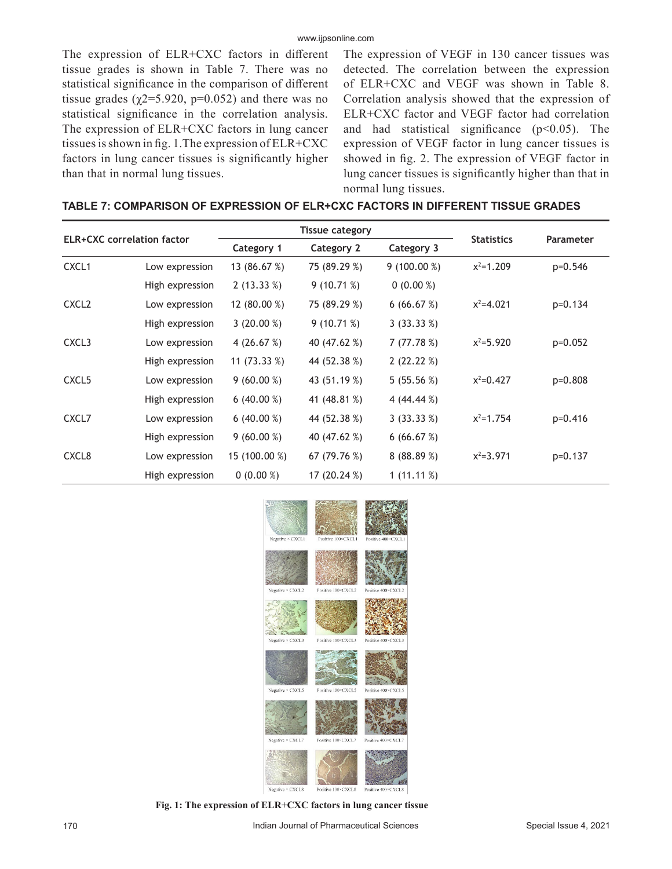The expression of ELR+CXC factors in different tissue grades is shown in Table 7. There was no statistical significance in the comparison of different tissue grades ( $\chi$ 2=5.920, p=0.052) and there was no statistical significance in the correlation analysis. The expression of ELR+CXC factors in lung cancer tissues is shown in fig. 1.The expression of ELR+CXC factors in lung cancer tissues is significantly higher than that in normal lung tissues.

The expression of VEGF in 130 cancer tissues was detected. The correlation between the expression of ELR+CXC and VEGF was shown in Table 8. Correlation analysis showed that the expression of ELR+CXC factor and VEGF factor had correlation and had statistical significance  $(p<0.05)$ . The expression of VEGF factor in lung cancer tissues is showed in fig. 2. The expression of VEGF factor in lung cancer tissues is significantly higher than that in normal lung tissues.

|--|

| <b>ELR+CXC</b> correlation factor |                 |               | <b>Tissue category</b> |              |                   |                  |
|-----------------------------------|-----------------|---------------|------------------------|--------------|-------------------|------------------|
|                                   |                 | Category 1    | Category 2             | Category 3   | <b>Statistics</b> | <b>Parameter</b> |
| CXCL1                             | Low expression  | 13 (86.67 %)  | 75 (89.29 %)           | 9(100.00%)   | $x^2 = 1.209$     | $p=0.546$        |
|                                   | High expression | 2(13.33%)     | 9(10.71%)              | $0(0.00\%)$  |                   |                  |
| CXCL <sub>2</sub>                 | Low expression  | 12 (80.00 %)  | 75 (89.29 %)           | 6(66.67%)    | $x^2 = 4.021$     | $p=0.134$        |
|                                   | High expression | $3(20.00\%)$  | 9(10.71%)              | 3(33.33%)    |                   |                  |
| CXCL3                             | Low expression  | 4 $(26.67%)$  | 40 (47.62 %)           | 7(77.78%)    | $x^2 = 5.920$     | $p=0.052$        |
|                                   | High expression | 11 (73.33 %)  | 44 (52.38 %)           | 2(22.22%)    |                   |                  |
| CXCL <sub>5</sub>                 | Low expression  | $9(60.00\%)$  | 43 (51.19 %)           | 5(55.56%)    | $x^2=0.427$       | $p=0.808$        |
|                                   | High expression | 6 $(40.00\%)$ | 41 (48.81 %)           | 4 (44.44 %)  |                   |                  |
| CXCL7                             | Low expression  | 6 $(40.00\%)$ | 44 (52.38 %)           | 3(33.33%)    | $x^2 = 1.754$     | $p=0.416$        |
|                                   | High expression | $9(60.00\%)$  | 40 (47.62 %)           | 6(66.67%)    |                   |                  |
| CXCL8                             | Low expression  | 15 (100.00 %) | 67(79.76%)             | 8(88.89%)    | $x^2 = 3.971$     | $p=0.137$        |
|                                   | High expression | $0(0.00\%)$   | 17 (20.24 %)           | 1 $(11.11%)$ |                   |                  |



**Fig. 1: The expression of ELR+CXC factors in lung cancer tissue**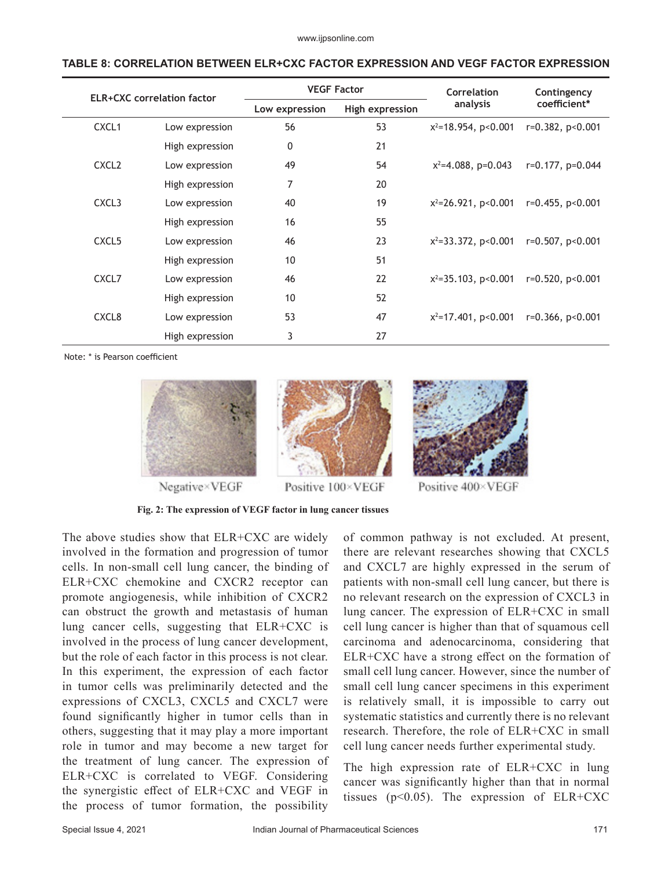#### **TABLE 8: CORRELATION BETWEEN ELR+CXC FACTOR EXPRESSION AND VEGF FACTOR EXPRESSION**

| <b>ELR+CXC</b> correlation factor |                 | <b>VEGF Factor</b> |                 | Correlation                  | Contingency           |  |
|-----------------------------------|-----------------|--------------------|-----------------|------------------------------|-----------------------|--|
|                                   |                 | Low expression     | High expression | analysis                     | coefficient*          |  |
| CXCL <sub>1</sub>                 | Low expression  | 56                 | 53              | $x^2$ =18.954, p<0.001       | $r=0.382, p<0.001$    |  |
|                                   | High expression | 0                  | 21              |                              |                       |  |
| CXCL <sub>2</sub>                 | Low expression  | 49                 | 54              | $x^2 = 4.088$ , p=0.043      | $r=0.177$ , $p=0.044$ |  |
|                                   | High expression | 7                  | 20              |                              |                       |  |
| CXCL3                             | Low expression  | 40                 | 19              | $x^2$ =26.921, p<0.001       | $r=0.455, p<0.001$    |  |
|                                   | High expression | 16                 | 55              |                              |                       |  |
| CXCL <sub>5</sub>                 | Low expression  | 46                 | 23              | $x^2 = 33.372$ , $p < 0.001$ | $r=0.507$ , $p<0.001$ |  |
|                                   | High expression | 10                 | 51              |                              |                       |  |
| CXCL7                             | Low expression  | 46                 | 22              | $x^2 = 35.103$ , $p < 0.001$ | $r=0.520, p<0.001$    |  |
|                                   | High expression | 10                 | 52              |                              |                       |  |
| CXCL <sub>8</sub>                 | Low expression  | 53                 | 47              | $x^2$ =17.401, p<0.001       | $r=0.366, p<0.001$    |  |
|                                   | High expression | 3                  | 27              |                              |                       |  |

Note: \* is Pearson coefficient



Negative×VEGF



Positive 100×VEGF



Positive 400×VEGF

**Fig. 2: The expression of VEGF factor in lung cancer tissues**

The above studies show that ELR+CXC are widely involved in the formation and progression of tumor cells. In non-small cell lung cancer, the binding of ELR+CXC chemokine and CXCR2 receptor can promote angiogenesis, while inhibition of CXCR2 can obstruct the growth and metastasis of human lung cancer cells, suggesting that ELR+CXC is involved in the process of lung cancer development, but the role of each factor in this process is not clear. In this experiment, the expression of each factor in tumor cells was preliminarily detected and the expressions of CXCL3, CXCL5 and CXCL7 were found significantly higher in tumor cells than in others, suggesting that it may play a more important role in tumor and may become a new target for the treatment of lung cancer. The expression of ELR+CXC is correlated to VEGF. Considering the synergistic effect of ELR+CXC and VEGF in the process of tumor formation, the possibility of common pathway is not excluded. At present, there are relevant researches showing that CXCL5 and CXCL7 are highly expressed in the serum of patients with non-small cell lung cancer, but there is no relevant research on the expression of CXCL3 in lung cancer. The expression of ELR+CXC in small cell lung cancer is higher than that of squamous cell carcinoma and adenocarcinoma, considering that ELR+CXC have a strong effect on the formation of small cell lung cancer. However, since the number of small cell lung cancer specimens in this experiment is relatively small, it is impossible to carry out systematic statistics and currently there is no relevant research. Therefore, the role of ELR+CXC in small cell lung cancer needs further experimental study.

The high expression rate of ELR+CXC in lung cancer was significantly higher than that in normal tissues ( $p<0.05$ ). The expression of ELR+CXC